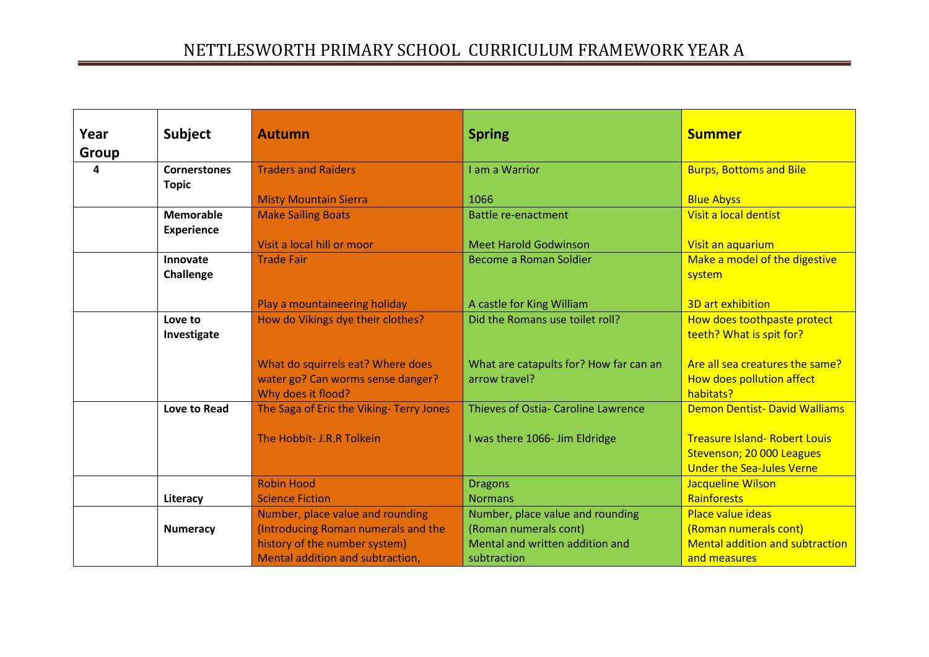| Year  | <b>Subject</b>      | <b>Autumn</b>                            | <b>Spring</b>                                           | <b>Summer</b>                          |
|-------|---------------------|------------------------------------------|---------------------------------------------------------|----------------------------------------|
| Group |                     |                                          |                                                         |                                        |
| 4     | <b>Cornerstones</b> | <b>Traders and Raiders</b>               | I am a Warrior                                          | <b>Burps, Bottoms and Bile</b>         |
|       | <b>Topic</b>        |                                          |                                                         |                                        |
|       |                     | <b>Misty Mountain Sierra</b>             | 1066                                                    | <b>Blue Abyss</b>                      |
|       | <b>Memorable</b>    | <b>Make Sailing Boats</b>                | <b>Battle re-enactment</b>                              | Visit a local dentist                  |
|       | <b>Experience</b>   |                                          |                                                         |                                        |
|       |                     | Visit a local hill or moor               | <b>Meet Harold Godwinson</b>                            | Visit an aquarium                      |
|       | Innovate            | <b>Trade Fair</b>                        | Become a Roman Soldier                                  | Make a model of the digestive          |
|       | Challenge           |                                          |                                                         | system                                 |
|       |                     |                                          |                                                         |                                        |
|       |                     | Play a mountaineering holiday            | A castle for King William                               | 3D art exhibition                      |
|       | Love to             | How do Vikings dye their clothes?        | Did the Romans use toilet roll?                         | How does toothpaste protect            |
|       | Investigate         |                                          |                                                         | teeth? What is spit for?               |
|       |                     | What do squirrels eat? Where does        |                                                         | Are all sea creatures the same?        |
|       |                     | water go? Can worms sense danger?        | What are catapults for? How far can an<br>arrow travel? | How does pollution affect              |
|       |                     | Why does it flood?                       |                                                         | habitats?                              |
|       | Love to Read        | The Saga of Eric the Viking- Terry Jones | Thieves of Ostia- Caroline Lawrence                     | <b>Demon Dentist- David Walliams</b>   |
|       |                     |                                          |                                                         |                                        |
|       |                     | The Hobbit- J.R.R Tolkein                | I was there 1066- Jim Eldridge                          | <b>Treasure Island- Robert Louis</b>   |
|       |                     |                                          |                                                         | Stevenson; 20 000 Leagues              |
|       |                     |                                          |                                                         | <b>Under the Sea-Jules Verne</b>       |
|       |                     | <b>Robin Hood</b>                        | <b>Dragons</b>                                          | Jacqueline Wilson                      |
|       | Literacy            | <b>Science Fiction</b>                   | <b>Normans</b>                                          | Rainforests                            |
|       |                     | Number, place value and rounding         | Number, place value and rounding                        | Place value ideas                      |
|       | <b>Numeracy</b>     | (Introducing Roman numerals and the      | (Roman numerals cont)                                   | (Roman numerals cont)                  |
|       |                     | history of the number system)            | Mental and written addition and                         | <b>Mental addition and subtraction</b> |
|       |                     | Mental addition and subtraction,         | subtraction                                             | and measures                           |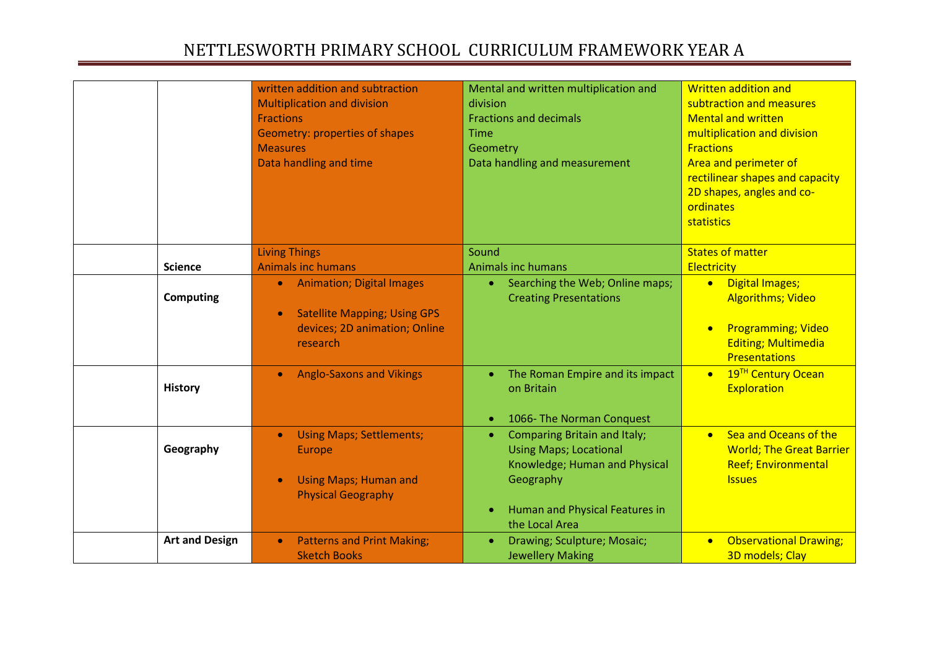|                       | written addition and subtraction                 | Mental and written multiplication and            | <b>Written addition and</b>                 |
|-----------------------|--------------------------------------------------|--------------------------------------------------|---------------------------------------------|
|                       | <b>Multiplication and division</b>               | division                                         | subtraction and measures                    |
|                       | <b>Fractions</b>                                 | <b>Fractions and decimals</b>                    | <b>Mental and written</b>                   |
|                       | Geometry: properties of shapes                   | <b>Time</b>                                      | multiplication and division                 |
|                       | <b>Measures</b>                                  | Geometry                                         | <b>Fractions</b>                            |
|                       | Data handling and time                           | Data handling and measurement                    | Area and perimeter of                       |
|                       |                                                  |                                                  | rectilinear shapes and capacity             |
|                       |                                                  |                                                  | 2D shapes, angles and co-                   |
|                       |                                                  |                                                  | ordinates                                   |
|                       |                                                  |                                                  | statistics                                  |
|                       |                                                  |                                                  |                                             |
|                       | <b>Living Things</b>                             | Sound                                            | <b>States of matter</b>                     |
| <b>Science</b>        | <b>Animals inc humans</b>                        | <b>Animals inc humans</b>                        | Electricity                                 |
|                       | <b>Animation; Digital Images</b><br>$\bullet$    | Searching the Web; Online maps;<br>$\bullet$ .   | <b>Digital Images;</b><br>$\bullet$         |
| <b>Computing</b>      |                                                  | <b>Creating Presentations</b>                    | <b>Algorithms; Video</b>                    |
|                       | <b>Satellite Mapping; Using GPS</b><br>$\bullet$ |                                                  |                                             |
|                       | devices; 2D animation; Online                    |                                                  | <b>Programming; Video</b>                   |
|                       | research                                         |                                                  | <b>Editing; Multimedia</b>                  |
|                       |                                                  |                                                  | <b>Presentations</b>                        |
|                       | <b>Anglo-Saxons and Vikings</b><br>$\bullet$     | The Roman Empire and its impact<br>$\bullet$     | 19 <sup>TH</sup> Century Ocean<br>$\bullet$ |
| <b>History</b>        |                                                  | on Britain                                       | Exploration                                 |
|                       |                                                  |                                                  |                                             |
|                       |                                                  | 1066- The Norman Conquest                        |                                             |
|                       | <b>Using Maps; Settlements;</b>                  | <b>Comparing Britain and Italy;</b><br>$\bullet$ | Sea and Oceans of the<br>$\bullet$          |
| Geography             | Europe                                           | <b>Using Maps; Locational</b>                    | <b>World; The Great Barrier</b>             |
|                       |                                                  | Knowledge; Human and Physical                    | <b>Reef; Environmental</b>                  |
|                       | <b>Using Maps; Human and</b>                     | Geography                                        | <b>Issues</b>                               |
|                       | <b>Physical Geography</b>                        |                                                  |                                             |
|                       |                                                  | Human and Physical Features in                   |                                             |
|                       |                                                  | the Local Area                                   |                                             |
| <b>Art and Design</b> | <b>Patterns and Print Making;</b><br>$\bullet$   | Drawing; Sculpture; Mosaic;                      | <b>Observational Drawing;</b><br>$\bullet$  |
|                       | <b>Sketch Books</b>                              | <b>Jewellery Making</b>                          | 3D models; Clay                             |
|                       |                                                  |                                                  |                                             |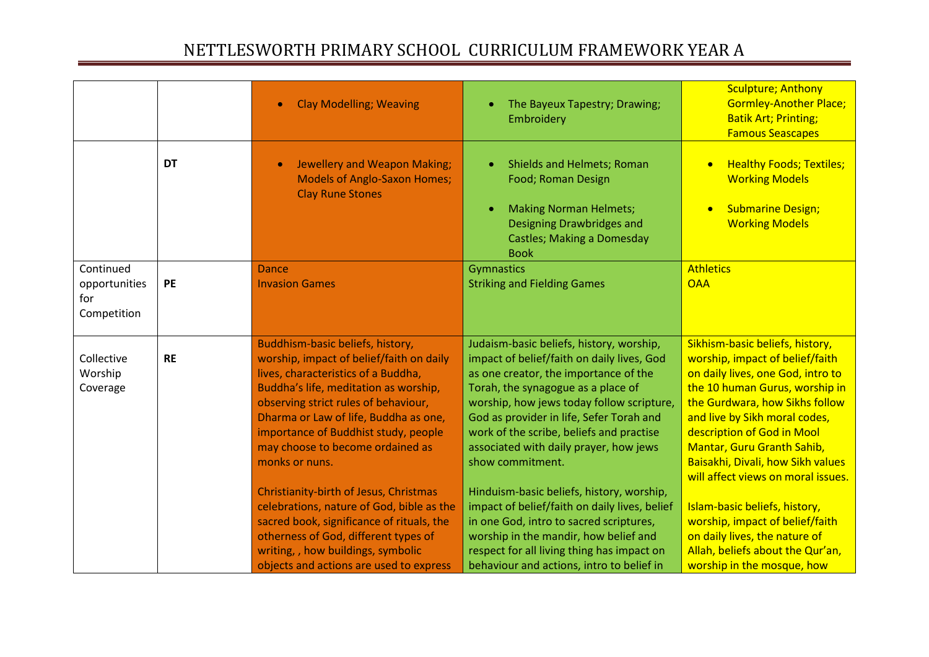|                                                  |           | <b>Clay Modelling; Weaving</b>                                                                                                                                                                                                                                                                                                              | The Bayeux Tapestry; Drawing;<br>Embroidery                                                                                                                                                                                                                                                                                                                              | <b>Sculpture; Anthony</b><br><b>Gormley-Another Place;</b><br><b>Batik Art; Printing;</b><br><b>Famous Seascapes</b>                                                                                                                                                                                                                                |
|--------------------------------------------------|-----------|---------------------------------------------------------------------------------------------------------------------------------------------------------------------------------------------------------------------------------------------------------------------------------------------------------------------------------------------|--------------------------------------------------------------------------------------------------------------------------------------------------------------------------------------------------------------------------------------------------------------------------------------------------------------------------------------------------------------------------|-----------------------------------------------------------------------------------------------------------------------------------------------------------------------------------------------------------------------------------------------------------------------------------------------------------------------------------------------------|
|                                                  | <b>DT</b> | Jewellery and Weapon Making;<br><b>Models of Anglo-Saxon Homes;</b><br><b>Clay Rune Stones</b>                                                                                                                                                                                                                                              | <b>Shields and Helmets; Roman</b><br>Food; Roman Design<br><b>Making Norman Helmets;</b><br>Designing Drawbridges and<br><b>Castles; Making a Domesday</b><br><b>Book</b>                                                                                                                                                                                                | <b>Healthy Foods; Textiles;</b><br><b>Working Models</b><br><b>Submarine Design;</b><br><b>Working Models</b>                                                                                                                                                                                                                                       |
| Continued<br>opportunities<br>for<br>Competition | PE        | <b>Dance</b><br><b>Invasion Games</b>                                                                                                                                                                                                                                                                                                       | Gymnastics<br><b>Striking and Fielding Games</b>                                                                                                                                                                                                                                                                                                                         | <b>Athletics</b><br><b>OAA</b>                                                                                                                                                                                                                                                                                                                      |
| Collective<br>Worship<br>Coverage                | <b>RE</b> | Buddhism-basic beliefs, history,<br>worship, impact of belief/faith on daily<br>lives, characteristics of a Buddha,<br>Buddha's life, meditation as worship,<br>observing strict rules of behaviour,<br>Dharma or Law of life, Buddha as one,<br>importance of Buddhist study, people<br>may choose to become ordained as<br>monks or nuns. | Judaism-basic beliefs, history, worship,<br>impact of belief/faith on daily lives, God<br>as one creator, the importance of the<br>Torah, the synagogue as a place of<br>worship, how jews today follow scripture,<br>God as provider in life, Sefer Torah and<br>work of the scribe, beliefs and practise<br>associated with daily prayer, how jews<br>show commitment. | Sikhism-basic beliefs, history,<br>worship, impact of belief/faith<br>on daily lives, one God, intro to<br>the 10 human Gurus, worship in<br>the Gurdwara, how Sikhs follow<br>and live by Sikh moral codes,<br>description of God in Mool<br>Mantar, Guru Granth Sahib,<br>Baisakhi, Divali, how Sikh values<br>will affect views on moral issues. |
|                                                  |           | Christianity-birth of Jesus, Christmas<br>celebrations, nature of God, bible as the<br>sacred book, significance of rituals, the<br>otherness of God, different types of<br>writing, , how buildings, symbolic<br>objects and actions are used to express                                                                                   | Hinduism-basic beliefs, history, worship,<br>impact of belief/faith on daily lives, belief<br>in one God, intro to sacred scriptures,<br>worship in the mandir, how belief and<br>respect for all living thing has impact on<br>behaviour and actions, intro to belief in                                                                                                | Islam-basic beliefs, history,<br>worship, impact of belief/faith<br>on daily lives, the nature of<br>Allah, beliefs about the Qur'an,<br>worship in the mosque, how                                                                                                                                                                                 |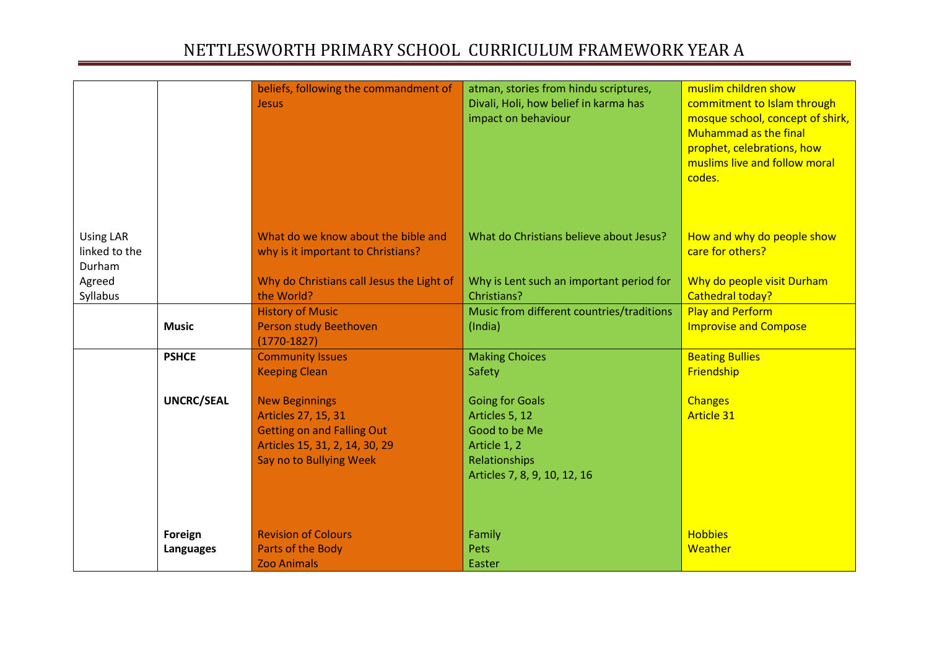|                                             |                   | beliefs, following the commandment of<br><b>Jesus</b>                                                                                          | atman, stories from hindu scriptures,<br>Divali, Holi, how belief in karma has<br>impact on behaviour                      | muslim children show<br>commitment to Islam through<br>mosque school, concept of shirk,<br><b>Muhammad as the final</b><br>prophet, celebrations, how<br>muslims live and follow moral<br>codes. |
|---------------------------------------------|-------------------|------------------------------------------------------------------------------------------------------------------------------------------------|----------------------------------------------------------------------------------------------------------------------------|--------------------------------------------------------------------------------------------------------------------------------------------------------------------------------------------------|
| <b>Using LAR</b><br>linked to the<br>Durham |                   | What do we know about the bible and<br>why is it important to Christians?                                                                      | What do Christians believe about Jesus?                                                                                    | How and why do people show<br>care for others?                                                                                                                                                   |
| Agreed<br>Syllabus                          |                   | Why do Christians call Jesus the Light of<br>the World?                                                                                        | Why is Lent such an important period for<br>Christians?                                                                    | Why do people visit Durham<br>Cathedral today?                                                                                                                                                   |
|                                             |                   | <b>History of Music</b>                                                                                                                        | Music from different countries/traditions                                                                                  | <b>Play and Perform</b>                                                                                                                                                                          |
|                                             | <b>Music</b>      | Person study Beethoven<br>$(1770-1827)$                                                                                                        | (India)                                                                                                                    | <b>Improvise and Compose</b>                                                                                                                                                                     |
|                                             | <b>PSHCE</b>      | <b>Community Issues</b>                                                                                                                        | <b>Making Choices</b>                                                                                                      | <b>Beating Bullies</b>                                                                                                                                                                           |
|                                             |                   | <b>Keeping Clean</b>                                                                                                                           | Safety                                                                                                                     | Friendship                                                                                                                                                                                       |
|                                             | <b>UNCRC/SEAL</b> | <b>New Beginnings</b><br>Articles 27, 15, 31<br><b>Getting on and Falling Out</b><br>Articles 15, 31, 2, 14, 30, 29<br>Say no to Bullying Week | <b>Going for Goals</b><br>Articles 5, 12<br>Good to be Me<br>Article 1, 2<br>Relationships<br>Articles 7, 8, 9, 10, 12, 16 | <b>Changes</b><br><b>Article 31</b>                                                                                                                                                              |
|                                             | Foreign           | <b>Revision of Colours</b>                                                                                                                     | Family                                                                                                                     | <b>Hobbies</b>                                                                                                                                                                                   |
|                                             | Languages         | Parts of the Body<br><b>Zoo Animals</b>                                                                                                        | Pets                                                                                                                       | Weather                                                                                                                                                                                          |
|                                             |                   |                                                                                                                                                | Easter                                                                                                                     |                                                                                                                                                                                                  |